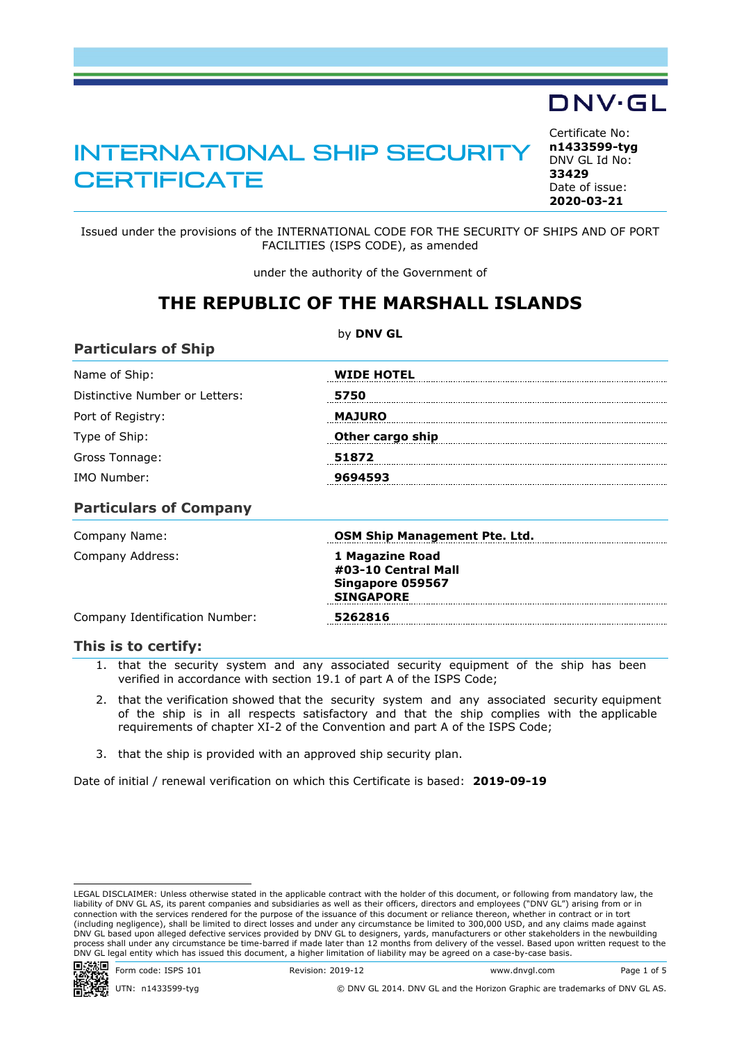# INTERNATIONAL SHIP SECURITY **CERTIFICATE**

<span id="page-0-0"></span>Certificate No: **n1433599-tyg** DNV GL Id No: **33429** Date of issue: **[2020-03-21](#page-1-0)**

Issued under the provisions of the INTERNATIONAL CODE FOR THE SECURITY OF SHIPS AND OF PORT FACILITIES (ISPS CODE), as amended

under the authority of the Government of

### **THE REPUBLIC OF THE MARSHALL ISLANDS**

| <b>Particulars of Ship</b>     | by DNV GL                                                                      |  |
|--------------------------------|--------------------------------------------------------------------------------|--|
| Name of Ship:                  | <b>WIDE HOTEL</b>                                                              |  |
| Distinctive Number or Letters: | 5750                                                                           |  |
| Port of Registry:              | <b>MAJURO</b>                                                                  |  |
| Type of Ship:                  | Other cargo ship                                                               |  |
| Gross Tonnage:                 | 51872                                                                          |  |
| IMO Number:                    | 9694593                                                                        |  |
| <b>Particulars of Company</b>  |                                                                                |  |
| Company Name:                  | <b>OSM Ship Management Pte. Ltd.</b>                                           |  |
| Company Address:               | 1 Magazine Road<br>#03-10 Central Mall<br>Singapore 059567<br><b>SINGAPORE</b> |  |
| Company Identification Number: | 5262816                                                                        |  |

#### **This is to certify:**

1. that the security system and any associated security equipment of the ship has been verified in accordance with section 19.1 of part A of the ISPS Code;

- 2. that the verification showed that the security system and any associated security equipment of the ship is in all respects satisfactory and that the ship complies with the applicable requirements of chapter XI-2 of the Convention and part A of the ISPS Code;
- 3. that the ship is provided with an approved ship security plan.

Date of initial / renewal verification on which this Certificate is based: **2019-09-19**

LEGAL DISCLAIMER: Unless otherwise stated in the applicable contract with the holder of this document, or following from mandatory law, the liability of DNV GL AS, its parent companies and subsidiaries as well as their officers, directors and employees ("DNV GL") arising from or in<br>connection with the services rendered for the purpose of the issuance of this d (including negligence), shall be limited to direct losses and under any circumstance be limited to 300,000 USD, and any claims made against DNV GL based upon alleged defective services provided by DNV GL to designers, yards, manufacturers or other stakeholders in the newbuilding process shall under any circumstance be time-barred if made later than 12 months from delivery of the vessel. Based upon written request to the<br>DNV GL legal entity which has issued this document, a higher limitation of lia



UTN: n1433599-tyg © DNV GL 2014. DNV GL and the Horizon Graphic are trademarks of DNV GL AS.

by **DNV GL**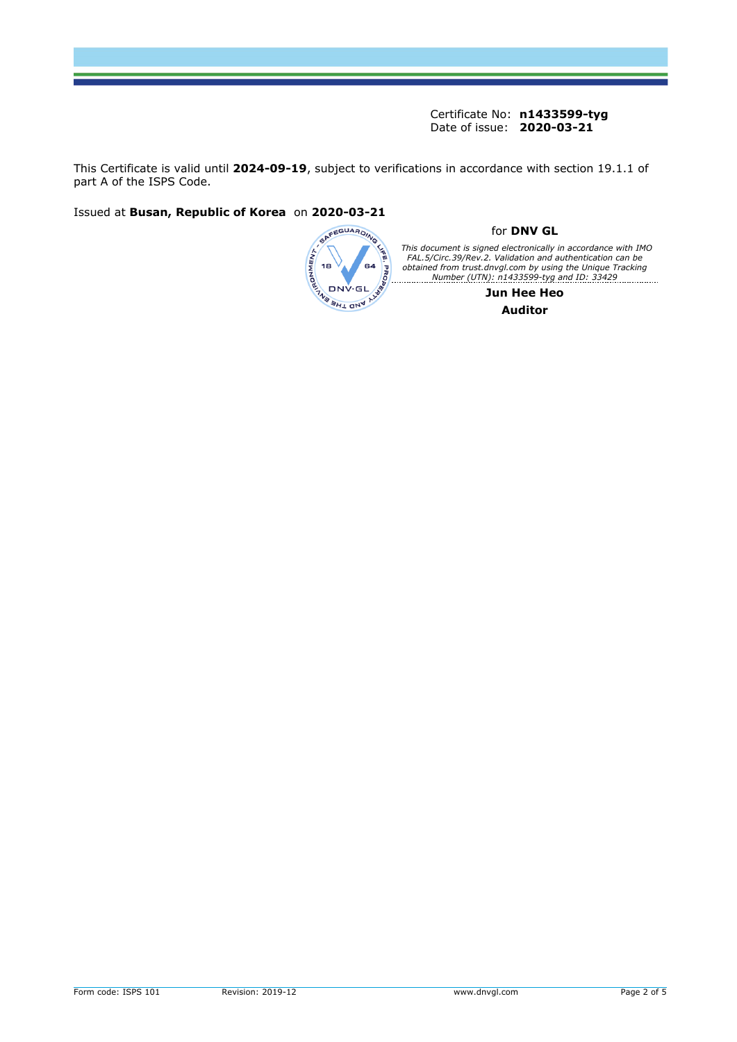This Certificate is valid until **2024-09-19**, subject to verifications in accordance with section 19.1.1 of part A of the ISPS Code.

Issued at **Busan, Republic of Korea** on **2020-03-21**

<span id="page-1-0"></span>

#### for **DNV GL**

This document is signed electronically in accordance with IMO<br>FAL.5/Circ.39/Rev.2. Validation and authentication can be<br>obtained from trust.dnvgl.com by using the Unique Tracking<br>Number (UTN): n1433599-tyg and ID: 33429

**Jun Hee Heo Auditor**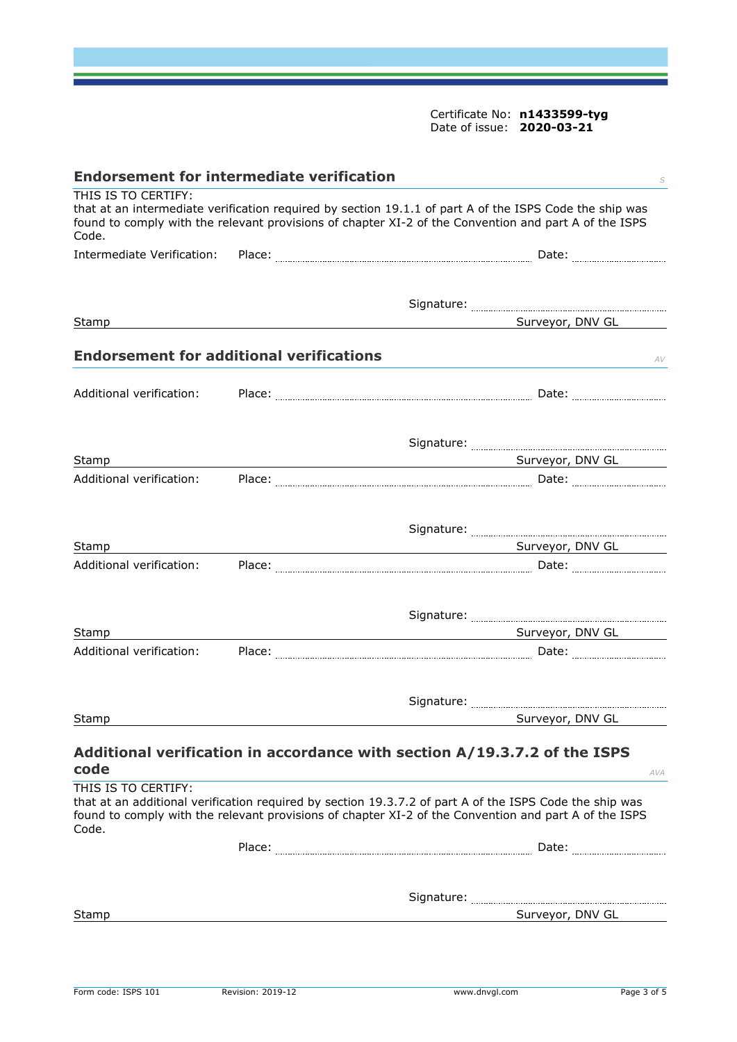<span id="page-2-0"></span>

| <b>Endorsement for intermediate verification</b><br>S                                                                                                                                                                                            |  |                                                                                                                                                                                                                  |  |
|--------------------------------------------------------------------------------------------------------------------------------------------------------------------------------------------------------------------------------------------------|--|------------------------------------------------------------------------------------------------------------------------------------------------------------------------------------------------------------------|--|
| THIS IS TO CERTIFY:<br>that at an intermediate verification required by section 19.1.1 of part A of the ISPS Code the ship was<br>found to comply with the relevant provisions of chapter XI-2 of the Convention and part A of the ISPS<br>Code. |  |                                                                                                                                                                                                                  |  |
| Intermediate Verification:                                                                                                                                                                                                                       |  |                                                                                                                                                                                                                  |  |
|                                                                                                                                                                                                                                                  |  |                                                                                                                                                                                                                  |  |
|                                                                                                                                                                                                                                                  |  |                                                                                                                                                                                                                  |  |
| Stamp                                                                                                                                                                                                                                            |  | Surveyor, DNV GL                                                                                                                                                                                                 |  |
| <b>Endorsement for additional verifications</b>                                                                                                                                                                                                  |  | AV                                                                                                                                                                                                               |  |
| Additional verification:                                                                                                                                                                                                                         |  |                                                                                                                                                                                                                  |  |
|                                                                                                                                                                                                                                                  |  |                                                                                                                                                                                                                  |  |
| Stamp                                                                                                                                                                                                                                            |  | Surveyor, DNV GL                                                                                                                                                                                                 |  |
| Additional verification:                                                                                                                                                                                                                         |  |                                                                                                                                                                                                                  |  |
|                                                                                                                                                                                                                                                  |  |                                                                                                                                                                                                                  |  |
| Stamp                                                                                                                                                                                                                                            |  | <b>Example 2018 Surveyor, DNV GL</b>                                                                                                                                                                             |  |
| Additional verification:                                                                                                                                                                                                                         |  |                                                                                                                                                                                                                  |  |
|                                                                                                                                                                                                                                                  |  |                                                                                                                                                                                                                  |  |
|                                                                                                                                                                                                                                                  |  |                                                                                                                                                                                                                  |  |
| Stamp                                                                                                                                                                                                                                            |  | Surveyor, DNV GL<br><u> 1989 - Johann Barn, fransk politik formuler (d. 1989)</u>                                                                                                                                |  |
| Additional verification:                                                                                                                                                                                                                         |  |                                                                                                                                                                                                                  |  |
|                                                                                                                                                                                                                                                  |  |                                                                                                                                                                                                                  |  |
| Stamp                                                                                                                                                                                                                                            |  | Surveyor, DNV GL                                                                                                                                                                                                 |  |
| code                                                                                                                                                                                                                                             |  | Additional verification in accordance with section A/19.3.7.2 of the ISPS                                                                                                                                        |  |
| THIS IS TO CERTIFY:                                                                                                                                                                                                                              |  | AVA                                                                                                                                                                                                              |  |
| Code.                                                                                                                                                                                                                                            |  | that at an additional verification required by section 19.3.7.2 of part A of the ISPS Code the ship was<br>found to comply with the relevant provisions of chapter XI-2 of the Convention and part A of the ISPS |  |
|                                                                                                                                                                                                                                                  |  | Date: <b>2008</b>                                                                                                                                                                                                |  |
|                                                                                                                                                                                                                                                  |  |                                                                                                                                                                                                                  |  |
|                                                                                                                                                                                                                                                  |  |                                                                                                                                                                                                                  |  |
| Stamp                                                                                                                                                                                                                                            |  | Surveyor, DNV GL                                                                                                                                                                                                 |  |
|                                                                                                                                                                                                                                                  |  |                                                                                                                                                                                                                  |  |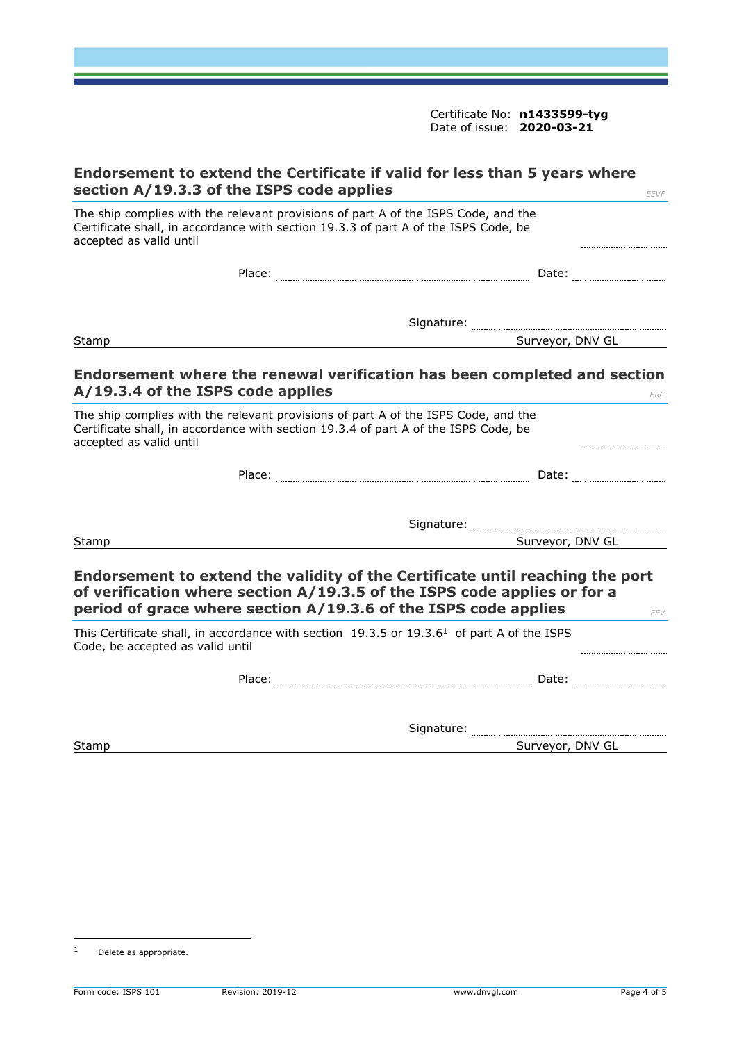| Endorsement to extend the Certificate if valid for less than 5 years where<br>section A/19.3.3 of the ISPS code applies                                                                                                      | EEVF                |
|------------------------------------------------------------------------------------------------------------------------------------------------------------------------------------------------------------------------------|---------------------|
| The ship complies with the relevant provisions of part A of the ISPS Code, and the<br>Certificate shall, in accordance with section 19.3.3 of part A of the ISPS Code, be<br>accepted as valid until                         |                     |
|                                                                                                                                                                                                                              |                     |
|                                                                                                                                                                                                                              |                     |
| Stamp                                                                                                                                                                                                                        | Surveyor, DNV GL    |
| Endorsement where the renewal verification has been completed and section<br>A/19.3.4 of the ISPS code applies                                                                                                               | ERC                 |
| The ship complies with the relevant provisions of part A of the ISPS Code, and the<br>Certificate shall, in accordance with section 19.3.4 of part A of the ISPS Code, be<br>accepted as valid until                         |                     |
|                                                                                                                                                                                                                              |                     |
|                                                                                                                                                                                                                              |                     |
| Stamp                                                                                                                                                                                                                        | Surveyor, DNV GL    |
| Endorsement to extend the validity of the Certificate until reaching the port<br>of verification where section A/19.3.5 of the ISPS code applies or for a<br>period of grace where section A/19.3.6 of the ISPS code applies | EEV                 |
| This Certificate shall, in accordance with section 19.3.5 or 19.3.6 <sup>1</sup> of part A of the ISPS<br>Code, be accepted as valid until                                                                                   |                     |
|                                                                                                                                                                                                                              | Date: <b>Market</b> |
|                                                                                                                                                                                                                              |                     |
| Stamp                                                                                                                                                                                                                        | Surveyor, DNV GL    |

<sup>1</sup> Delete as appropriate.